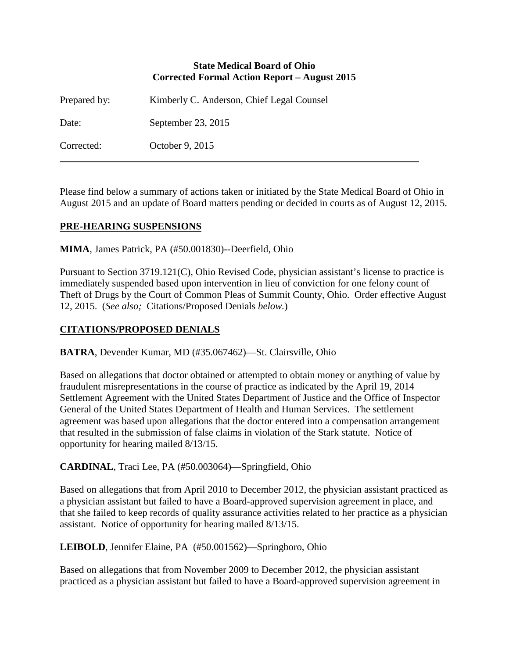### **State Medical Board of Ohio Corrected Formal Action Report – August 2015**

| Prepared by: | Kimberly C. Anderson, Chief Legal Counsel |
|--------------|-------------------------------------------|
| Date:        | September 23, 2015                        |
| Corrected:   | October 9, 2015                           |

Please find below a summary of actions taken or initiated by the State Medical Board of Ohio in August 2015 and an update of Board matters pending or decided in courts as of August 12, 2015.

# **PRE-HEARING SUSPENSIONS**

**MIMA**, James Patrick, PA (#50.001830)--Deerfield, Ohio

Pursuant to Section 3719.121(C), Ohio Revised Code, physician assistant's license to practice is immediately suspended based upon intervention in lieu of conviction for one felony count of Theft of Drugs by the Court of Common Pleas of Summit County, Ohio. Order effective August 12, 2015. (*See also;* Citations/Proposed Denials *below.*)

# **CITATIONS/PROPOSED DENIALS**

**BATRA**, Devender Kumar, MD (#35.067462)—St. Clairsville, Ohio

Based on allegations that doctor obtained or attempted to obtain money or anything of value by fraudulent misrepresentations in the course of practice as indicated by the April 19, 2014 Settlement Agreement with the United States Department of Justice and the Office of Inspector General of the United States Department of Health and Human Services. The settlement agreement was based upon allegations that the doctor entered into a compensation arrangement that resulted in the submission of false claims in violation of the Stark statute. Notice of opportunity for hearing mailed 8/13/15.

**CARDINAL**, Traci Lee, PA (#50.003064)—Springfield, Ohio

Based on allegations that from April 2010 to December 2012, the physician assistant practiced as a physician assistant but failed to have a Board-approved supervision agreement in place, and that she failed to keep records of quality assurance activities related to her practice as a physician assistant. Notice of opportunity for hearing mailed 8/13/15.

**LEIBOLD**, Jennifer Elaine, PA (#50.001562)—Springboro, Ohio

Based on allegations that from November 2009 to December 2012, the physician assistant practiced as a physician assistant but failed to have a Board-approved supervision agreement in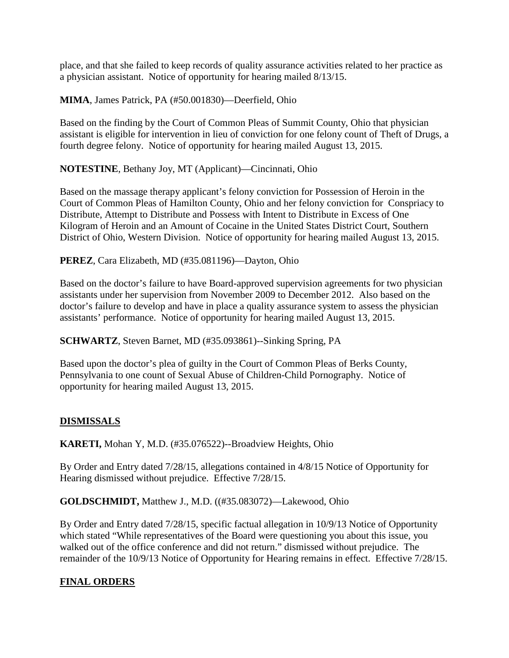place, and that she failed to keep records of quality assurance activities related to her practice as a physician assistant. Notice of opportunity for hearing mailed 8/13/15.

**MIMA**, James Patrick, PA (#50.001830)—Deerfield, Ohio

Based on the finding by the Court of Common Pleas of Summit County, Ohio that physician assistant is eligible for intervention in lieu of conviction for one felony count of Theft of Drugs, a fourth degree felony. Notice of opportunity for hearing mailed August 13, 2015.

**NOTESTINE**, Bethany Joy, MT (Applicant)—Cincinnati, Ohio

Based on the massage therapy applicant's felony conviction for Possession of Heroin in the Court of Common Pleas of Hamilton County, Ohio and her felony conviction for Conspriacy to Distribute, Attempt to Distribute and Possess with Intent to Distribute in Excess of One Kilogram of Heroin and an Amount of Cocaine in the United States District Court, Southern District of Ohio, Western Division. Notice of opportunity for hearing mailed August 13, 2015.

**PEREZ**, Cara Elizabeth, MD (#35.081196)—Dayton, Ohio

Based on the doctor's failure to have Board-approved supervision agreements for two physician assistants under her supervision from November 2009 to December 2012. Also based on the doctor's failure to develop and have in place a quality assurance system to assess the physician assistants' performance. Notice of opportunity for hearing mailed August 13, 2015.

**SCHWARTZ**, Steven Barnet, MD (#35.093861)--Sinking Spring, PA

Based upon the doctor's plea of guilty in the Court of Common Pleas of Berks County, Pennsylvania to one count of Sexual Abuse of Children-Child Pornography. Notice of opportunity for hearing mailed August 13, 2015.

# **DISMISSALS**

**KARETI,** Mohan Y, M.D. (#35.076522)--Broadview Heights, Ohio

By Order and Entry dated 7/28/15, allegations contained in 4/8/15 Notice of Opportunity for Hearing dismissed without prejudice. Effective 7/28/15.

**GOLDSCHMIDT,** Matthew J., M.D. ((#35.083072)—Lakewood, Ohio

By Order and Entry dated 7/28/15, specific factual allegation in 10/9/13 Notice of Opportunity which stated "While representatives of the Board were questioning you about this issue, you walked out of the office conference and did not return." dismissed without prejudice. The remainder of the 10/9/13 Notice of Opportunity for Hearing remains in effect. Effective 7/28/15.

# **FINAL ORDERS**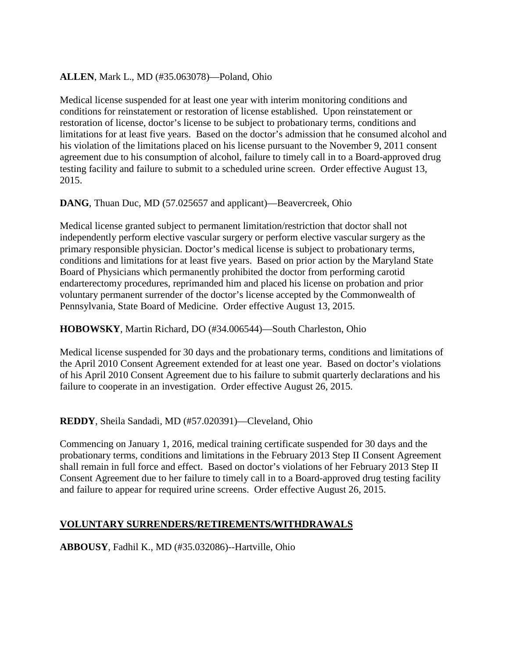# **ALLEN**, Mark L., MD (#35.063078)—Poland, Ohio

Medical license suspended for at least one year with interim monitoring conditions and conditions for reinstatement or restoration of license established. Upon reinstatement or restoration of license, doctor's license to be subject to probationary terms, conditions and limitations for at least five years. Based on the doctor's admission that he consumed alcohol and his violation of the limitations placed on his license pursuant to the November 9, 2011 consent agreement due to his consumption of alcohol, failure to timely call in to a Board-approved drug testing facility and failure to submit to a scheduled urine screen. Order effective August 13, 2015.

### **DANG**, Thuan Duc, MD (57.025657 and applicant)—Beavercreek, Ohio

Medical license granted subject to permanent limitation/restriction that doctor shall not independently perform elective vascular surgery or perform elective vascular surgery as the primary responsible physician. Doctor's medical license is subject to probationary terms, conditions and limitations for at least five years. Based on prior action by the Maryland State Board of Physicians which permanently prohibited the doctor from performing carotid endarterectomy procedures, reprimanded him and placed his license on probation and prior voluntary permanent surrender of the doctor's license accepted by the Commonwealth of Pennsylvania, State Board of Medicine. Order effective August 13, 2015.

### **HOBOWSKY**, Martin Richard, DO (#34.006544)—South Charleston, Ohio

Medical license suspended for 30 days and the probationary terms, conditions and limitations of the April 2010 Consent Agreement extended for at least one year. Based on doctor's violations of his April 2010 Consent Agreement due to his failure to submit quarterly declarations and his failure to cooperate in an investigation. Order effective August 26, 2015.

# **REDDY**, Sheila Sandadi, MD (#57.020391)—Cleveland, Ohio

Commencing on January 1, 2016, medical training certificate suspended for 30 days and the probationary terms, conditions and limitations in the February 2013 Step II Consent Agreement shall remain in full force and effect. Based on doctor's violations of her February 2013 Step II Consent Agreement due to her failure to timely call in to a Board-approved drug testing facility and failure to appear for required urine screens. Order effective August 26, 2015.

# **VOLUNTARY SURRENDERS/RETIREMENTS/WITHDRAWALS**

**ABBOUSY**, Fadhil K., MD (#35.032086)--Hartville, Ohio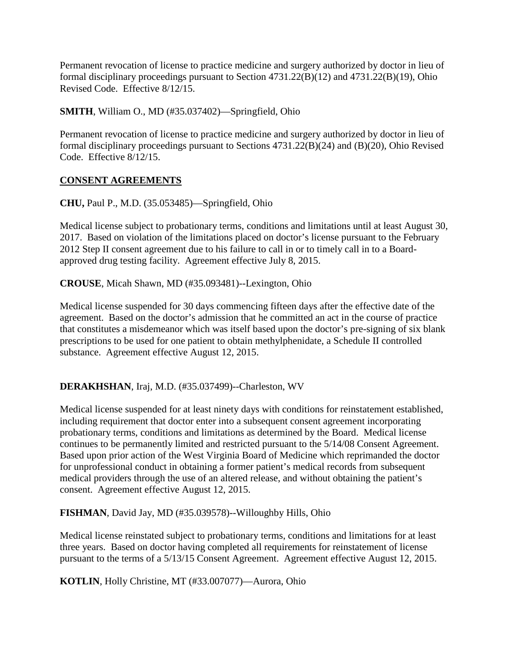Permanent revocation of license to practice medicine and surgery authorized by doctor in lieu of formal disciplinary proceedings pursuant to Section 4731.22(B)(12) and 4731.22(B)(19), Ohio Revised Code. Effective 8/12/15.

**SMITH**, William O., MD (#35.037402)—Springfield, Ohio

Permanent revocation of license to practice medicine and surgery authorized by doctor in lieu of formal disciplinary proceedings pursuant to Sections 4731.22(B)(24) and (B)(20), Ohio Revised Code. Effective 8/12/15.

# **CONSENT AGREEMENTS**

**CHU,** Paul P., M.D. (35.053485)—Springfield, Ohio

Medical license subject to probationary terms, conditions and limitations until at least August 30, 2017. Based on violation of the limitations placed on doctor's license pursuant to the February 2012 Step II consent agreement due to his failure to call in or to timely call in to a Boardapproved drug testing facility. Agreement effective July 8, 2015.

**CROUSE**, Micah Shawn, MD (#35.093481)--Lexington, Ohio

Medical license suspended for 30 days commencing fifteen days after the effective date of the agreement. Based on the doctor's admission that he committed an act in the course of practice that constitutes a misdemeanor which was itself based upon the doctor's pre-signing of six blank prescriptions to be used for one patient to obtain methylphenidate, a Schedule II controlled substance. Agreement effective August 12, 2015.

#### **DERAKHSHAN**, Iraj, M.D. (#35.037499)--Charleston, WV

Medical license suspended for at least ninety days with conditions for reinstatement established, including requirement that doctor enter into a subsequent consent agreement incorporating probationary terms, conditions and limitations as determined by the Board. Medical license continues to be permanently limited and restricted pursuant to the 5/14/08 Consent Agreement. Based upon prior action of the West Virginia Board of Medicine which reprimanded the doctor for unprofessional conduct in obtaining a former patient's medical records from subsequent medical providers through the use of an altered release, and without obtaining the patient's consent. Agreement effective August 12, 2015.

**FISHMAN**, David Jay, MD (#35.039578)--Willoughby Hills, Ohio

Medical license reinstated subject to probationary terms, conditions and limitations for at least three years. Based on doctor having completed all requirements for reinstatement of license pursuant to the terms of a 5/13/15 Consent Agreement. Agreement effective August 12, 2015.

**KOTLIN**, Holly Christine, MT (#33.007077)—Aurora, Ohio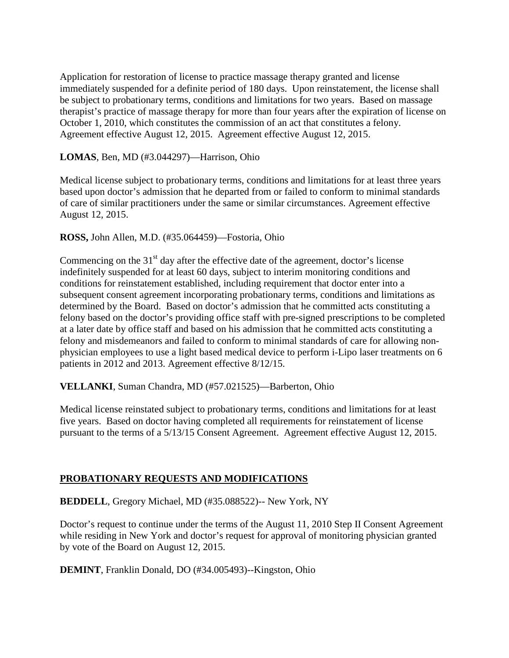Application for restoration of license to practice massage therapy granted and license immediately suspended for a definite period of 180 days. Upon reinstatement, the license shall be subject to probationary terms, conditions and limitations for two years. Based on massage therapist's practice of massage therapy for more than four years after the expiration of license on October 1, 2010, which constitutes the commission of an act that constitutes a felony. Agreement effective August 12, 2015. Agreement effective August 12, 2015.

### **LOMAS**, Ben, MD (#3.044297)—Harrison, Ohio

Medical license subject to probationary terms, conditions and limitations for at least three years based upon doctor's admission that he departed from or failed to conform to minimal standards of care of similar practitioners under the same or similar circumstances. Agreement effective August 12, 2015.

### **ROSS,** John Allen, M.D. (#35.064459)—Fostoria, Ohio

Commencing on the  $31<sup>st</sup>$  day after the effective date of the agreement, doctor's license indefinitely suspended for at least 60 days, subject to interim monitoring conditions and conditions for reinstatement established, including requirement that doctor enter into a subsequent consent agreement incorporating probationary terms, conditions and limitations as determined by the Board. Based on doctor's admission that he committed acts constituting a felony based on the doctor's providing office staff with pre-signed prescriptions to be completed at a later date by office staff and based on his admission that he committed acts constituting a felony and misdemeanors and failed to conform to minimal standards of care for allowing nonphysician employees to use a light based medical device to perform i-Lipo laser treatments on 6 patients in 2012 and 2013. Agreement effective 8/12/15.

#### **VELLANKI**, Suman Chandra, MD (#57.021525)—Barberton, Ohio

Medical license reinstated subject to probationary terms, conditions and limitations for at least five years. Based on doctor having completed all requirements for reinstatement of license pursuant to the terms of a 5/13/15 Consent Agreement. Agreement effective August 12, 2015.

# **PROBATIONARY REQUESTS AND MODIFICATIONS**

**BEDDELL**, Gregory Michael, MD (#35.088522)-- New York, NY

Doctor's request to continue under the terms of the August 11, 2010 Step II Consent Agreement while residing in New York and doctor's request for approval of monitoring physician granted by vote of the Board on August 12, 2015.

**DEMINT**, Franklin Donald, DO (#34.005493)--Kingston, Ohio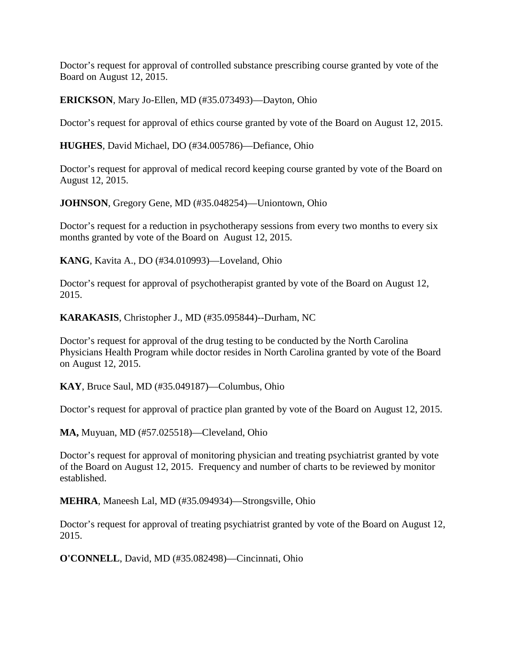Doctor's request for approval of controlled substance prescribing course granted by vote of the Board on August 12, 2015.

**ERICKSON**, Mary Jo-Ellen, MD (#35.073493)—Dayton, Ohio

Doctor's request for approval of ethics course granted by vote of the Board on August 12, 2015.

**HUGHES**, David Michael, DO (#34.005786)—Defiance, Ohio

Doctor's request for approval of medical record keeping course granted by vote of the Board on August 12, 2015.

**JOHNSON**, Gregory Gene, MD (#35.048254)—Uniontown, Ohio

Doctor's request for a reduction in psychotherapy sessions from every two months to every six months granted by vote of the Board on August 12, 2015.

**KANG**, Kavita A., DO (#34.010993)—Loveland, Ohio

Doctor's request for approval of psychotherapist granted by vote of the Board on August 12, 2015.

**KARAKASIS**, Christopher J., MD (#35.095844)--Durham, NC

Doctor's request for approval of the drug testing to be conducted by the North Carolina Physicians Health Program while doctor resides in North Carolina granted by vote of the Board on August 12, 2015.

**KAY**, Bruce Saul, MD (#35.049187)—Columbus, Ohio

Doctor's request for approval of practice plan granted by vote of the Board on August 12, 2015.

**MA,** Muyuan, MD (#57.025518)—Cleveland, Ohio

Doctor's request for approval of monitoring physician and treating psychiatrist granted by vote of the Board on August 12, 2015. Frequency and number of charts to be reviewed by monitor established.

**MEHRA**, Maneesh Lal, MD (#35.094934)—Strongsville, Ohio

Doctor's request for approval of treating psychiatrist granted by vote of the Board on August 12, 2015.

**O'CONNELL**, David, MD (#35.082498)—Cincinnati, Ohio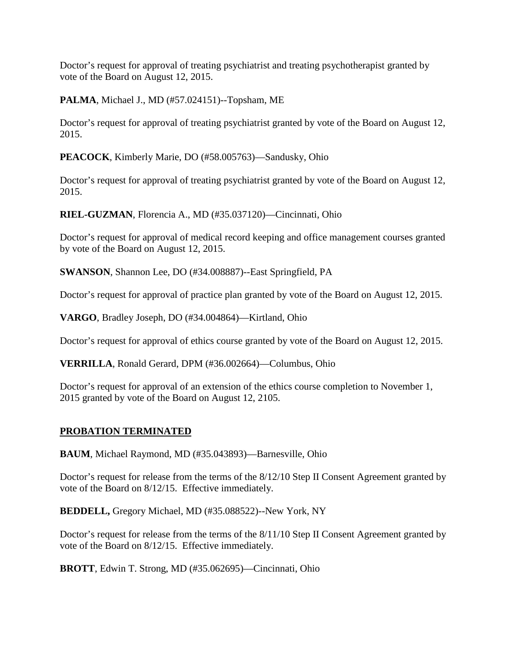Doctor's request for approval of treating psychiatrist and treating psychotherapist granted by vote of the Board on August 12, 2015.

**PALMA**, Michael J., MD (#57.024151)--Topsham, ME

Doctor's request for approval of treating psychiatrist granted by vote of the Board on August 12, 2015.

**PEACOCK**, Kimberly Marie, DO (#58.005763)—Sandusky, Ohio

Doctor's request for approval of treating psychiatrist granted by vote of the Board on August 12, 2015.

**RIEL-GUZMAN**, Florencia A., MD (#35.037120)—Cincinnati, Ohio

Doctor's request for approval of medical record keeping and office management courses granted by vote of the Board on August 12, 2015.

**SWANSON**, Shannon Lee, DO (#34.008887)--East Springfield, PA

Doctor's request for approval of practice plan granted by vote of the Board on August 12, 2015.

**VARGO**, Bradley Joseph, DO (#34.004864)—Kirtland, Ohio

Doctor's request for approval of ethics course granted by vote of the Board on August 12, 2015.

**VERRILLA**, Ronald Gerard, DPM (#36.002664)—Columbus, Ohio

Doctor's request for approval of an extension of the ethics course completion to November 1, 2015 granted by vote of the Board on August 12, 2105.

# **PROBATION TERMINATED**

**BAUM**, Michael Raymond, MD (#35.043893)—Barnesville, Ohio

Doctor's request for release from the terms of the 8/12/10 Step II Consent Agreement granted by vote of the Board on 8/12/15. Effective immediately.

**BEDDELL,** Gregory Michael, MD (#35.088522)--New York, NY

Doctor's request for release from the terms of the 8/11/10 Step II Consent Agreement granted by vote of the Board on 8/12/15. Effective immediately.

**BROTT**, Edwin T. Strong, MD (#35.062695)—Cincinnati, Ohio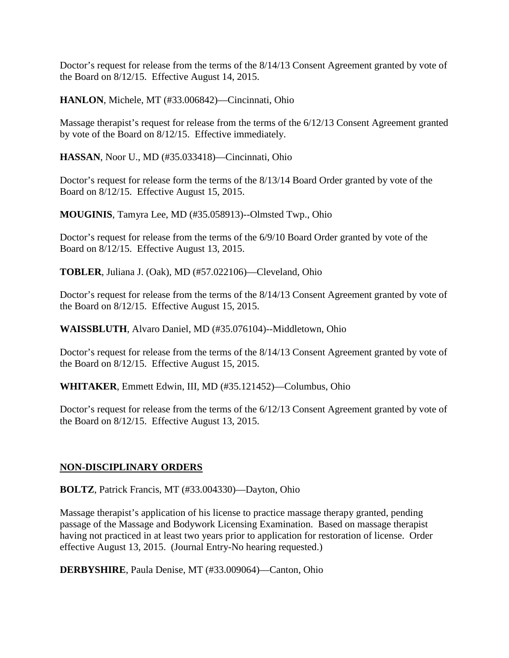Doctor's request for release from the terms of the 8/14/13 Consent Agreement granted by vote of the Board on 8/12/15. Effective August 14, 2015.

**HANLON**, Michele, MT (#33.006842)—Cincinnati, Ohio

Massage therapist's request for release from the terms of the 6/12/13 Consent Agreement granted by vote of the Board on 8/12/15. Effective immediately.

**HASSAN**, Noor U., MD (#35.033418)—Cincinnati, Ohio

Doctor's request for release form the terms of the 8/13/14 Board Order granted by vote of the Board on 8/12/15. Effective August 15, 2015.

**MOUGINIS**, Tamyra Lee, MD (#35.058913)--Olmsted Twp., Ohio

Doctor's request for release from the terms of the 6/9/10 Board Order granted by vote of the Board on 8/12/15. Effective August 13, 2015.

**TOBLER**, Juliana J. (Oak), MD (#57.022106)—Cleveland, Ohio

Doctor's request for release from the terms of the 8/14/13 Consent Agreement granted by vote of the Board on 8/12/15. Effective August 15, 2015.

**WAISSBLUTH**, Alvaro Daniel, MD (#35.076104)--Middletown, Ohio

Doctor's request for release from the terms of the 8/14/13 Consent Agreement granted by vote of the Board on 8/12/15. Effective August 15, 2015.

**WHITAKER**, Emmett Edwin, III, MD (#35.121452)—Columbus, Ohio

Doctor's request for release from the terms of the 6/12/13 Consent Agreement granted by vote of the Board on 8/12/15. Effective August 13, 2015.

# **NON-DISCIPLINARY ORDERS**

**BOLTZ**, Patrick Francis, MT (#33.004330)—Dayton, Ohio

Massage therapist's application of his license to practice massage therapy granted, pending passage of the Massage and Bodywork Licensing Examination. Based on massage therapist having not practiced in at least two years prior to application for restoration of license. Order effective August 13, 2015. (Journal Entry-No hearing requested.)

**DERBYSHIRE**, Paula Denise, MT (#33.009064)—Canton, Ohio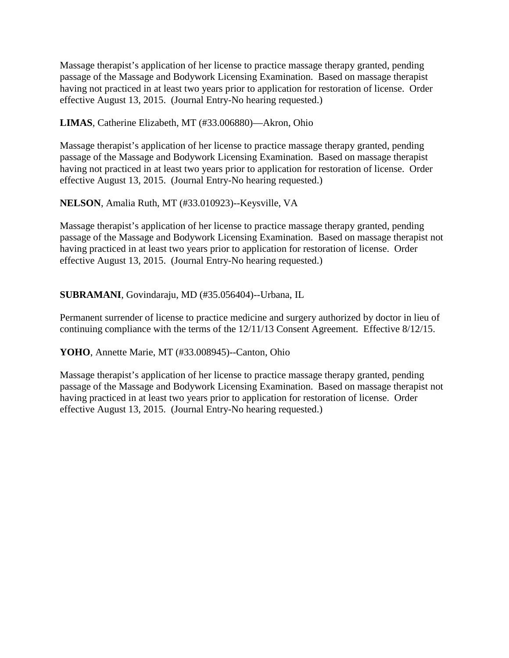Massage therapist's application of her license to practice massage therapy granted, pending passage of the Massage and Bodywork Licensing Examination. Based on massage therapist having not practiced in at least two years prior to application for restoration of license. Order effective August 13, 2015. (Journal Entry-No hearing requested.)

**LIMAS**, Catherine Elizabeth, MT (#33.006880)—Akron, Ohio

Massage therapist's application of her license to practice massage therapy granted, pending passage of the Massage and Bodywork Licensing Examination. Based on massage therapist having not practiced in at least two years prior to application for restoration of license. Order effective August 13, 2015. (Journal Entry-No hearing requested.)

**NELSON**, Amalia Ruth, MT (#33.010923)--Keysville, VA

Massage therapist's application of her license to practice massage therapy granted, pending passage of the Massage and Bodywork Licensing Examination. Based on massage therapist not having practiced in at least two years prior to application for restoration of license. Order effective August 13, 2015. (Journal Entry-No hearing requested.)

### **SUBRAMANI**, Govindaraju, MD (#35.056404)--Urbana, IL

Permanent surrender of license to practice medicine and surgery authorized by doctor in lieu of continuing compliance with the terms of the 12/11/13 Consent Agreement. Effective 8/12/15.

**YOHO**, Annette Marie, MT (#33.008945)--Canton, Ohio

Massage therapist's application of her license to practice massage therapy granted, pending passage of the Massage and Bodywork Licensing Examination. Based on massage therapist not having practiced in at least two years prior to application for restoration of license. Order effective August 13, 2015. (Journal Entry-No hearing requested.)